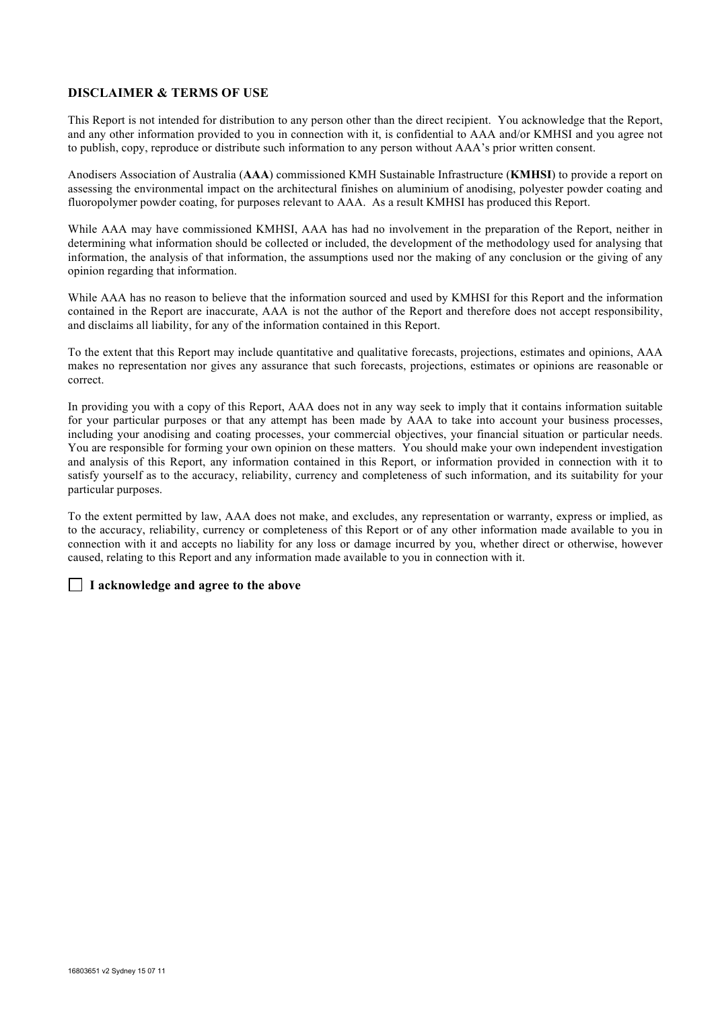#### **DISCLAIMER & TERMS OF USE**

This Report is not intended for distribution to any person other than the direct recipient. You acknowledge that the Report, and any other information provided to you in connection with it, is confidential to AAA and/or KMHSI and you agree not to publish, copy, reproduce or distribute such information to any person without AAA's prior written consent.

Anodisers Association of Australia (**AAA**) commissioned KMH Sustainable Infrastructure (**KMHSI**) to provide a report on assessing the environmental impact on the architectural finishes on aluminium of anodising, polyester powder coating and fluoropolymer powder coating, for purposes relevant to AAA. As a result KMHSI has produced this Report.

While AAA may have commissioned KMHSI, AAA has had no involvement in the preparation of the Report, neither in determining what information should be collected or included, the development of the methodology used for analysing that information, the analysis of that information, the assumptions used nor the making of any conclusion or the giving of any opinion regarding that information.

While AAA has no reason to believe that the information sourced and used by KMHSI for this Report and the information contained in the Report are inaccurate, AAA is not the author of the Report and therefore does not accept responsibility, and disclaims all liability, for any of the information contained in this Report.

To the extent that this Report may include quantitative and qualitative forecasts, projections, estimates and opinions, AAA makes no representation nor gives any assurance that such forecasts, projections, estimates or opinions are reasonable or correct.

In providing you with a copy of this Report, AAA does not in any way seek to imply that it contains information suitable for your particular purposes or that any attempt has been made by AAA to take into account your business processes, including your anodising and coating processes, your commercial objectives, your financial situation or particular needs. You are responsible for forming your own opinion on these matters. You should make your own independent investigation and analysis of this Report, any information contained in this Report, or information provided in connection with it to satisfy yourself as to the accuracy, reliability, currency and completeness of such information, and its suitability for your particular purposes.

To the extent permitted by law, AAA does not make, and excludes, any representation or warranty, express or implied, as to the accuracy, reliability, currency or completeness of this Report or of any other information made available to you in connection with it and accepts no liability for any loss or damage incurred by you, whether direct or otherwise, however caused, relating to this Report and any information made available to you in connection with it.

#### **I acknowledge and agree to the above**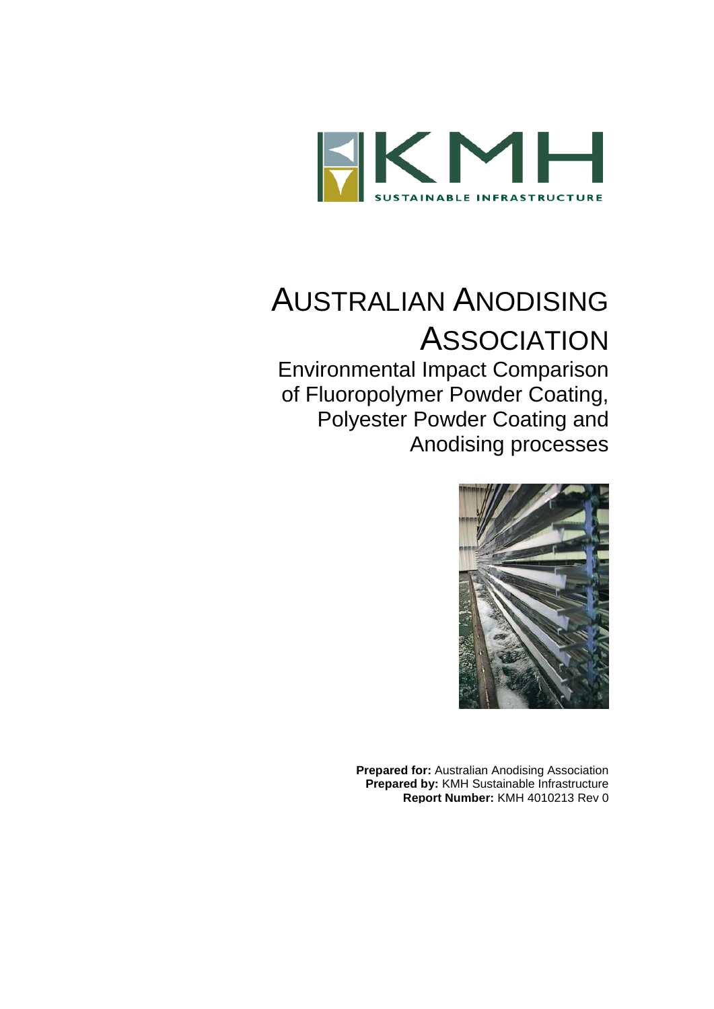

# AUSTRALIAN ANODISING **ASSOCIATION**

Environmental Impact Comparison of Fluoropolymer Powder Coating, Polyester Powder Coating and Anodising processes



**Prepared for:** Australian Anodising Association **Prepared by:** KMH Sustainable Infrastructure **Report Number:** KMH 4010213 Rev 0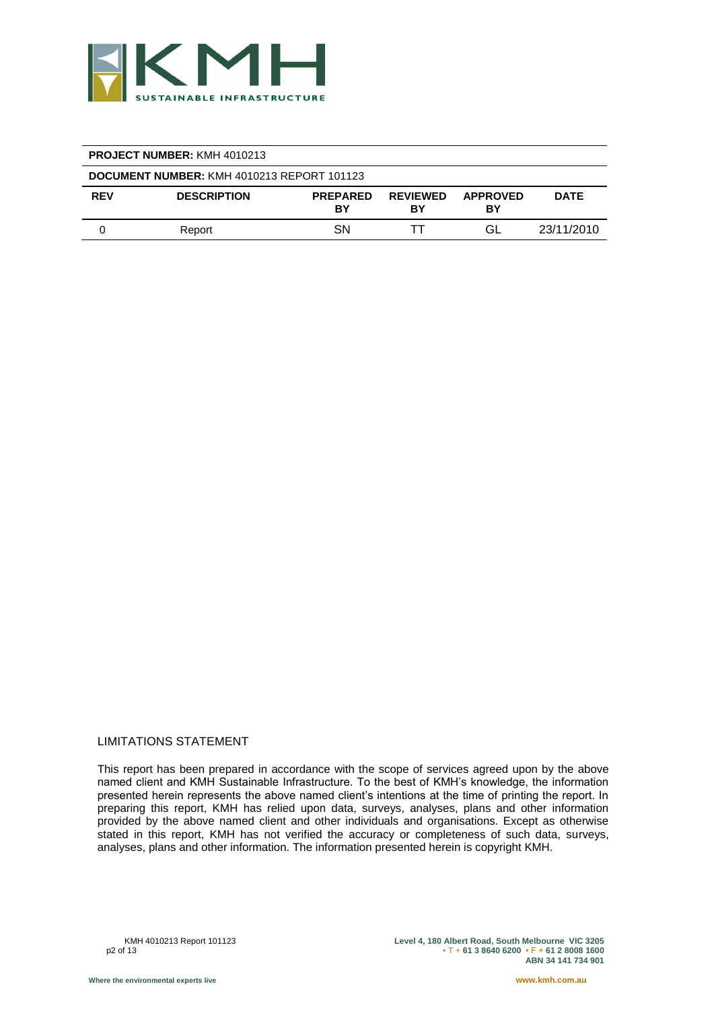

| <b>PROJECT NUMBER: KMH 4010213</b>                |                    |                       |                       |                       |             |  |  |
|---------------------------------------------------|--------------------|-----------------------|-----------------------|-----------------------|-------------|--|--|
| <b>DOCUMENT NUMBER: KMH 4010213 REPORT 101123</b> |                    |                       |                       |                       |             |  |  |
| <b>REV</b>                                        | <b>DESCRIPTION</b> | <b>PREPARED</b><br>BY | <b>REVIEWED</b><br>B٧ | <b>APPROVED</b><br>BY | <b>DATE</b> |  |  |
|                                                   | Report             | <b>SN</b>             |                       | GL                    | 23/11/2010  |  |  |

#### LIMITATIONS STATEMENT

This report has been prepared in accordance with the scope of services agreed upon by the above named client and KMH Sustainable Infrastructure. To the best of KMH's knowledge, the information presented herein represents the above named client's intentions at the time of printing the report. In preparing this report, KMH has relied upon data, surveys, analyses, plans and other information provided by the above named client and other individuals and organisations. Except as otherwise stated in this report, KMH has not verified the accuracy or completeness of such data, surveys, analyses, plans and other information. The information presented herein is copyright KMH.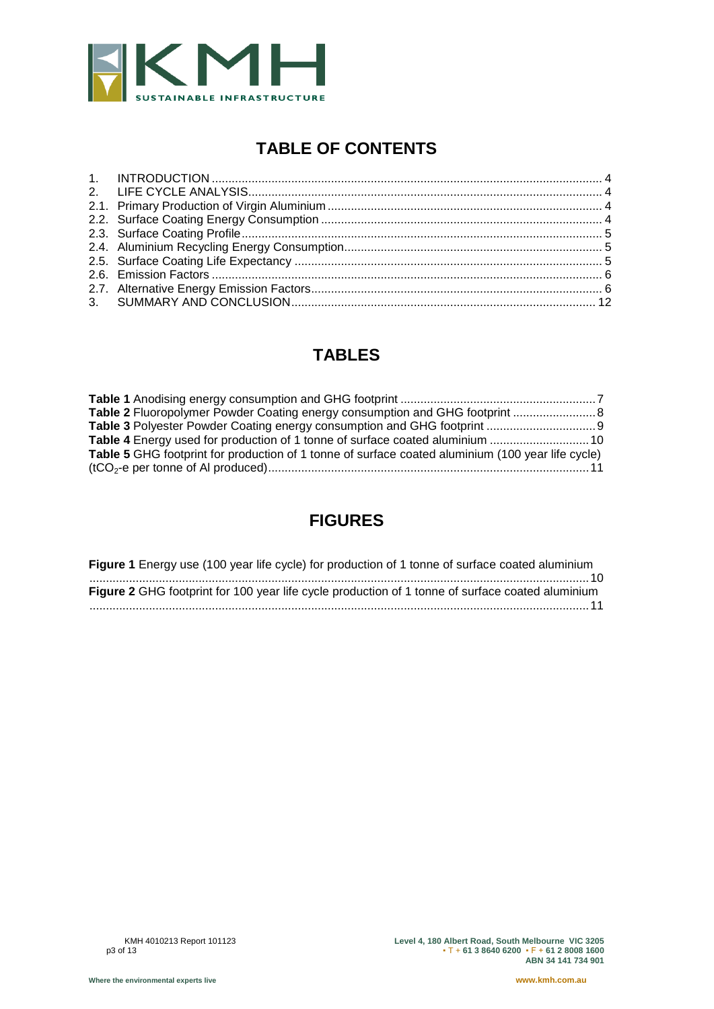

# **TABLE OF CONTENTS**

## **TABLES**

| Table 2 Fluoropolymer Powder Coating energy consumption and GHG footprint  8                      |  |
|---------------------------------------------------------------------------------------------------|--|
|                                                                                                   |  |
|                                                                                                   |  |
| Table 5 GHG footprint for production of 1 tonne of surface coated aluminium (100 year life cycle) |  |
|                                                                                                   |  |

## **FIGURES**

| <b>Figure 1</b> Energy use (100 year life cycle) for production of 1 tonne of surface coated aluminium |
|--------------------------------------------------------------------------------------------------------|
|                                                                                                        |
| Figure 2 GHG footprint for 100 year life cycle production of 1 tonne of surface coated aluminium       |
|                                                                                                        |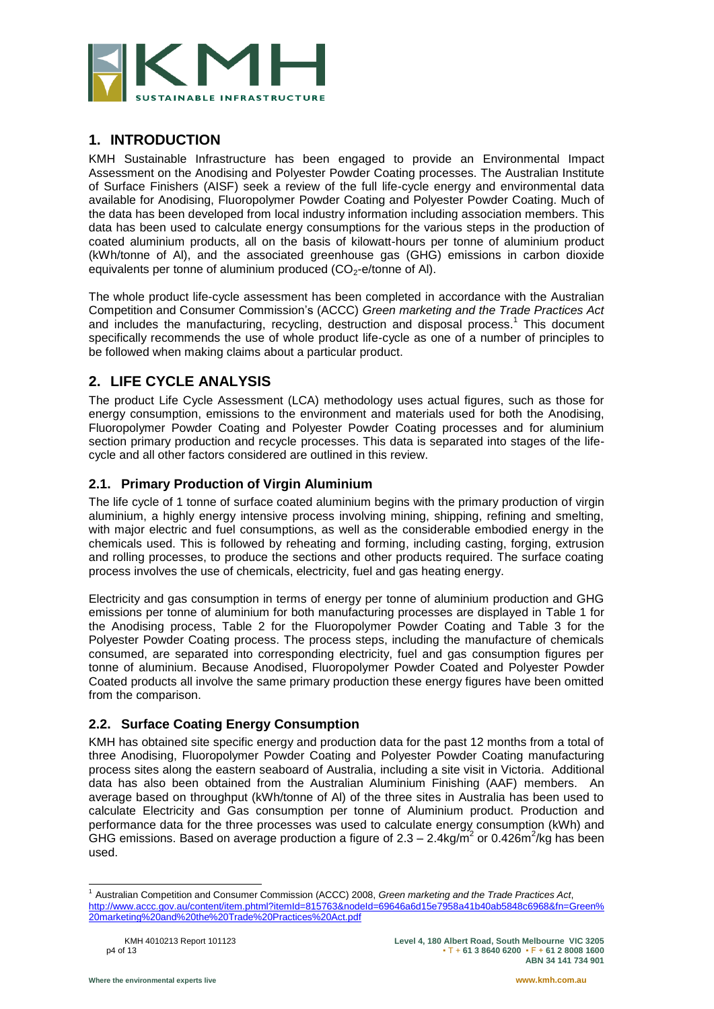

## **1. INTRODUCTION**

KMH Sustainable Infrastructure has been engaged to provide an Environmental Impact Assessment on the Anodising and Polyester Powder Coating processes. The Australian Institute of Surface Finishers (AISF) seek a review of the full life-cycle energy and environmental data available for Anodising, Fluoropolymer Powder Coating and Polyester Powder Coating. Much of the data has been developed from local industry information including association members. This data has been used to calculate energy consumptions for the various steps in the production of coated aluminium products, all on the basis of kilowatt-hours per tonne of aluminium product (kWh/tonne of Al), and the associated greenhouse gas (GHG) emissions in carbon dioxide equivalents per tonne of aluminium produced  $(CO<sub>2</sub>-e/tonne$  of Al).

The whole product life-cycle assessment has been completed in accordance with the Australian Competition and Consumer Commission"s (ACCC) *Green marketing and the Trade Practices Act* and includes the manufacturing, recycling, destruction and disposal process.<sup>1</sup> This document specifically recommends the use of whole product life-cycle as one of a number of principles to be followed when making claims about a particular product.

#### **2. LIFE CYCLE ANALYSIS**

The product Life Cycle Assessment (LCA) methodology uses actual figures, such as those for energy consumption, emissions to the environment and materials used for both the Anodising, Fluoropolymer Powder Coating and Polyester Powder Coating processes and for aluminium section primary production and recycle processes. This data is separated into stages of the lifecycle and all other factors considered are outlined in this review.

#### **2.1. Primary Production of Virgin Aluminium**

The life cycle of 1 tonne of surface coated aluminium begins with the primary production of virgin aluminium, a highly energy intensive process involving mining, shipping, refining and smelting, with major electric and fuel consumptions, as well as the considerable embodied energy in the chemicals used. This is followed by reheating and forming, including casting, forging, extrusion and rolling processes, to produce the sections and other products required. The surface coating process involves the use of chemicals, electricity, fuel and gas heating energy.

Electricity and gas consumption in terms of energy per tonne of aluminium production and GHG emissions per tonne of aluminium for both manufacturing processes are displayed in Table 1 for the Anodising process, Table 2 for the Fluoropolymer Powder Coating and Table 3 for the Polyester Powder Coating process. The process steps, including the manufacture of chemicals consumed, are separated into corresponding electricity, fuel and gas consumption figures per tonne of aluminium. Because Anodised, Fluoropolymer Powder Coated and Polyester Powder Coated products all involve the same primary production these energy figures have been omitted from the comparison.

#### **2.2. Surface Coating Energy Consumption**

KMH has obtained site specific energy and production data for the past 12 months from a total of three Anodising, Fluoropolymer Powder Coating and Polyester Powder Coating manufacturing process sites along the eastern seaboard of Australia, including a site visit in Victoria. Additional data has also been obtained from the Australian Aluminium Finishing (AAF) members. An average based on throughput (kWh/tonne of Al) of the three sites in Australia has been used to calculate Electricity and Gas consumption per tonne of Aluminium product. Production and performance data for the three processes was used to calculate energy consumption (kWh) and GHG emissions. Based on average production a figure of 2.3 – 2.4kg/m<sup>2</sup> or 0.426m<sup>2</sup>/kg has been used.

l <sup>1</sup> Australian Competition and Consumer Commission (ACCC) 2008, *Green marketing and the Trade Practices Act*, [http://www.accc.gov.au/content/item.phtml?itemId=815763&nodeId=69646a6d15e7958a41b40ab5848c6968&fn=Green%](http://www.accc.gov.au/content/item.phtml?itemId=815763&nodeId=69646a6d15e7958a41b40ab5848c6968&fn=Green%20marketing%20and%20the%20Trade%20Practices%20Act.pdf) [20marketing%20and%20the%20Trade%20Practices%20Act.pdf](http://www.accc.gov.au/content/item.phtml?itemId=815763&nodeId=69646a6d15e7958a41b40ab5848c6968&fn=Green%20marketing%20and%20the%20Trade%20Practices%20Act.pdf)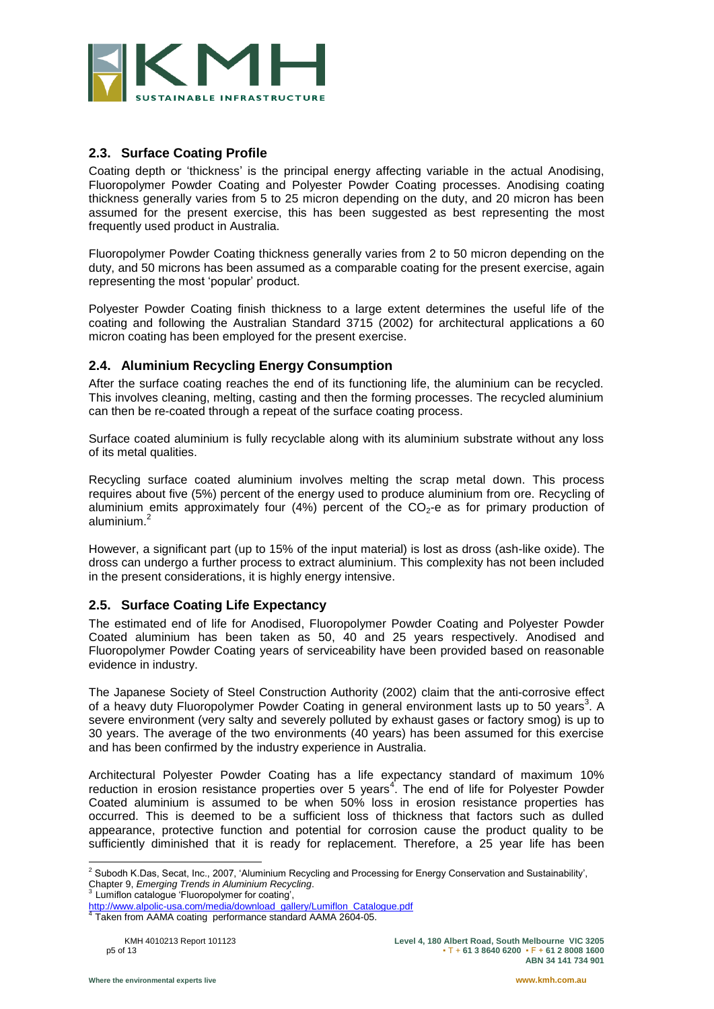

#### **2.3. Surface Coating Profile**

Coating depth or "thickness" is the principal energy affecting variable in the actual Anodising, Fluoropolymer Powder Coating and Polyester Powder Coating processes. Anodising coating thickness generally varies from 5 to 25 micron depending on the duty, and 20 micron has been assumed for the present exercise, this has been suggested as best representing the most frequently used product in Australia.

Fluoropolymer Powder Coating thickness generally varies from 2 to 50 micron depending on the duty, and 50 microns has been assumed as a comparable coating for the present exercise, again representing the most "popular" product.

Polyester Powder Coating finish thickness to a large extent determines the useful life of the coating and following the Australian Standard 3715 (2002) for architectural applications a 60 micron coating has been employed for the present exercise.

#### **2.4. Aluminium Recycling Energy Consumption**

After the surface coating reaches the end of its functioning life, the aluminium can be recycled. This involves cleaning, melting, casting and then the forming processes. The recycled aluminium can then be re-coated through a repeat of the surface coating process.

Surface coated aluminium is fully recyclable along with its aluminium substrate without any loss of its metal qualities.

Recycling surface coated aluminium involves melting the scrap metal down. This process requires about five (5%) percent of the energy used to produce aluminium from ore. Recycling of aluminium emits approximately four  $(4%)$  percent of the CO<sub>2</sub>-e as for primary production of aluminium. 2

However, a significant part (up to 15% of the input material) is lost as dross (ash-like oxide). The dross can undergo a further process to extract aluminium. This complexity has not been included in the present considerations, it is highly energy intensive.

#### **2.5. Surface Coating Life Expectancy**

The estimated end of life for Anodised, Fluoropolymer Powder Coating and Polyester Powder Coated aluminium has been taken as 50, 40 and 25 years respectively. Anodised and Fluoropolymer Powder Coating years of serviceability have been provided based on reasonable evidence in industry.

The Japanese Society of Steel Construction Authority (2002) claim that the anti-corrosive effect of a heavy duty Fluoropolymer Powder Coating in general environment lasts up to 50 years<sup>3</sup>. A severe environment (very salty and severely polluted by exhaust gases or factory smog) is up to 30 years. The average of the two environments (40 years) has been assumed for this exercise and has been confirmed by the industry experience in Australia.

Architectural Polyester Powder Coating has a life expectancy standard of maximum 10% reduction in erosion resistance properties over 5 years<sup>4</sup>. The end of life for Polyester Powder Coated aluminium is assumed to be when 50% loss in erosion resistance properties has occurred. This is deemed to be a sufficient loss of thickness that factors such as dulled appearance, protective function and potential for corrosion cause the product quality to be sufficiently diminished that it is ready for replacement. Therefore, a 25 year life has been

l

<sup>&</sup>lt;sup>2</sup> Subodh K.Das, Secat, Inc., 2007, 'Aluminium Recycling and Processing for Energy Conservation and Sustainability', Chapter 9, *Emerging Trends in Aluminium Recycling*.

<sup>&</sup>lt;sup>3</sup> Lumiflon catalogue 'Fluoropolymer for coating',

[http://www.alpolic-usa.com/media/download\\_gallery/Lumiflon\\_Catalogue.pdf](http://www.alpolic-usa.com/media/download_gallery/Lumiflon_Catalogue.pdf)<br><sup>4</sup> Teken from AAMA costing, performance standard AAMA 2604 05

Taken from AAMA coating performance standard AAMA 2604-05.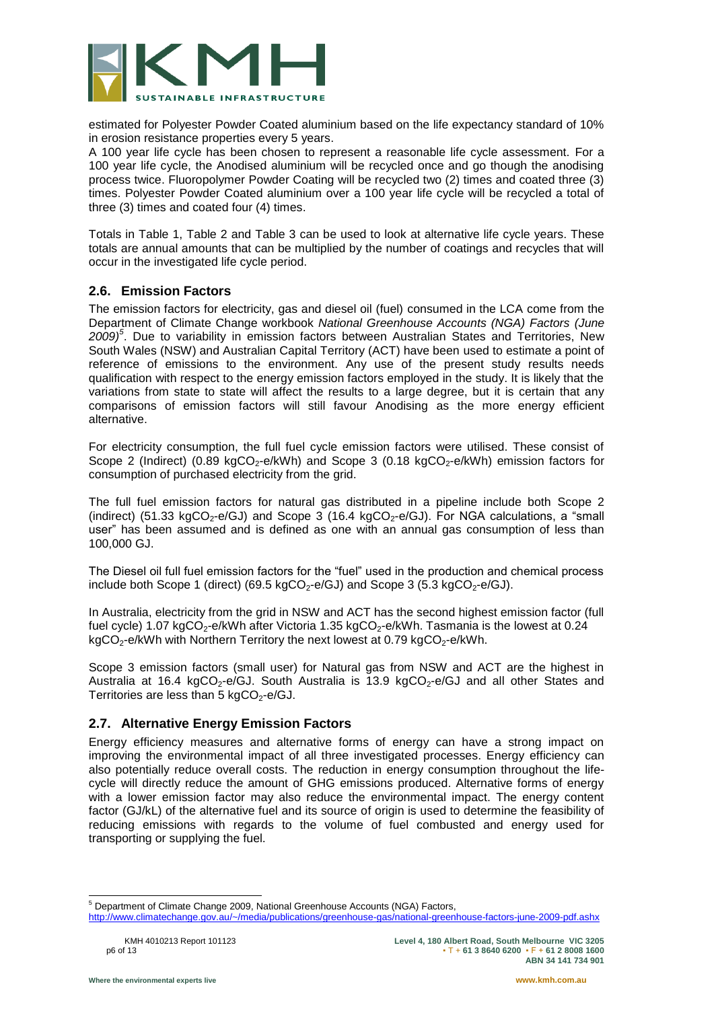

estimated for Polyester Powder Coated aluminium based on the life expectancy standard of 10% in erosion resistance properties every 5 years.

A 100 year life cycle has been chosen to represent a reasonable life cycle assessment. For a 100 year life cycle, the Anodised aluminium will be recycled once and go though the anodising process twice. Fluoropolymer Powder Coating will be recycled two (2) times and coated three (3) times. Polyester Powder Coated aluminium over a 100 year life cycle will be recycled a total of three (3) times and coated four (4) times.

Totals in Table 1, Table 2 and Table 3 can be used to look at alternative life cycle years. These totals are annual amounts that can be multiplied by the number of coatings and recycles that will occur in the investigated life cycle period.

#### **2.6. Emission Factors**

The emission factors for electricity, gas and diesel oil (fuel) consumed in the LCA come from the Department of Climate Change workbook *National Greenhouse Accounts (NGA) Factors (June 2009) 5* . Due to variability in emission factors between Australian States and Territories, New South Wales (NSW) and Australian Capital Territory (ACT) have been used to estimate a point of reference of emissions to the environment. Any use of the present study results needs qualification with respect to the energy emission factors employed in the study. It is likely that the variations from state to state will affect the results to a large degree, but it is certain that any comparisons of emission factors will still favour Anodising as the more energy efficient alternative.

For electricity consumption, the full fuel cycle emission factors were utilised. These consist of Scope 2 (Indirect) (0.89 kgCO<sub>2</sub>-e/kWh) and Scope 3 (0.18 kgCO<sub>2</sub>-e/kWh) emission factors for consumption of purchased electricity from the grid.

The full fuel emission factors for natural gas distributed in a pipeline include both Scope 2 (indirect) (51.33 kgCO<sub>2</sub>-e/GJ) and Scope 3 (16.4 kgCO<sub>2</sub>-e/GJ). For NGA calculations, a "small user" has been assumed and is defined as one with an annual gas consumption of less than 100,000 GJ.

The Diesel oil full fuel emission factors for the "fuel" used in the production and chemical process include both Scope 1 (direct) (69.5 kgCO<sub>2</sub>-e/GJ) and Scope 3 (5.3 kgCO<sub>2</sub>-e/GJ).

In Australia, electricity from the grid in NSW and ACT has the second highest emission factor (full fuel cycle) 1.07 kgCO<sub>2</sub>-e/kWh after Victoria 1.35 kgCO<sub>2</sub>-e/kWh. Tasmania is the lowest at 0.24 kgCO<sub>2</sub>-e/kWh with Northern Territory the next lowest at 0.79 kgCO<sub>2</sub>-e/kWh.

Scope 3 emission factors (small user) for Natural gas from NSW and ACT are the highest in Australia at 16.4 kgCO<sub>2</sub>-e/GJ. South Australia is 13.9 kgCO<sub>2</sub>-e/GJ and all other States and Territories are less than 5 kgCO<sub>2</sub>-e/GJ.

#### **2.7. Alternative Energy Emission Factors**

Energy efficiency measures and alternative forms of energy can have a strong impact on improving the environmental impact of all three investigated processes. Energy efficiency can also potentially reduce overall costs. The reduction in energy consumption throughout the lifecycle will directly reduce the amount of GHG emissions produced. Alternative forms of energy with a lower emission factor may also reduce the environmental impact. The energy content factor (GJ/kL) of the alternative fuel and its source of origin is used to determine the feasibility of reducing emissions with regards to the volume of fuel combusted and energy used for transporting or supplying the fuel.

l <sup>5</sup> Department of Climate Change 2009, National Greenhouse Accounts (NGA) Factors,

<http://www.climatechange.gov.au/~/media/publications/greenhouse-gas/national-greenhouse-factors-june-2009-pdf.ashx>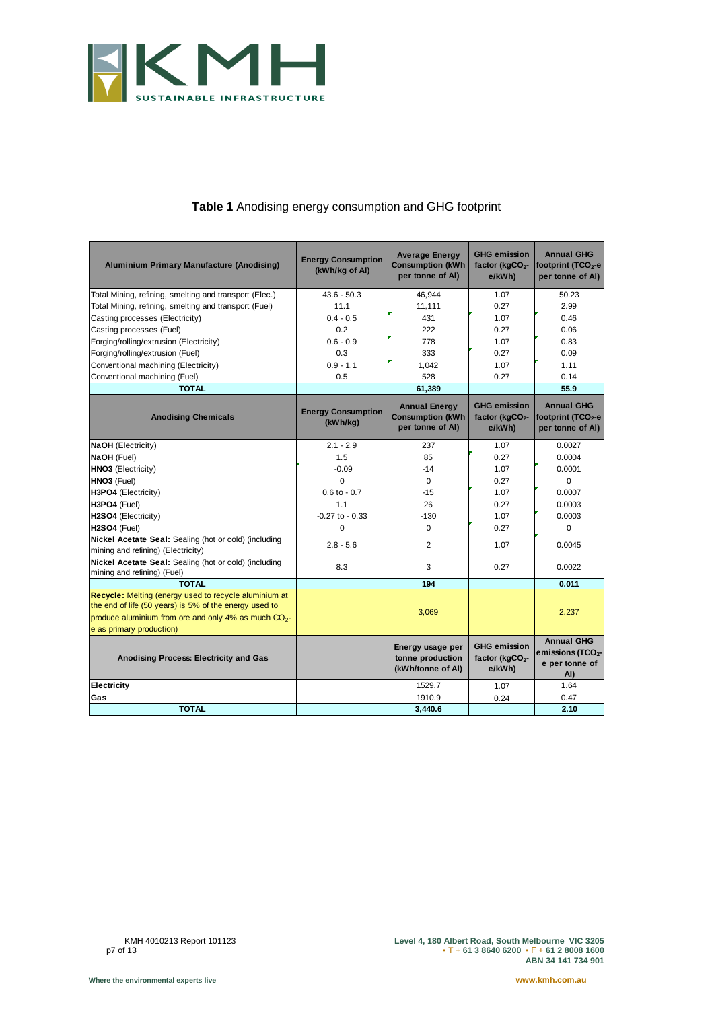

#### **Table 1** Anodising energy consumption and GHG footprint

<span id="page-7-0"></span>

| <b>Aluminium Primary Manufacture (Anodising)</b>                                                                                                                                                                | <b>Energy Consumption</b><br>(kWh/kg of Al) | <b>Average Energy</b><br><b>Consumption (kWh</b><br>per tonne of Al) | <b>GHG emission</b><br>factor (kgCO <sub>2</sub> -<br>e/kWh) | <b>Annual GHG</b><br>footprint (TCO <sub>2</sub> -e<br>per tonne of Al)     |
|-----------------------------------------------------------------------------------------------------------------------------------------------------------------------------------------------------------------|---------------------------------------------|----------------------------------------------------------------------|--------------------------------------------------------------|-----------------------------------------------------------------------------|
| Total Mining, refining, smelting and transport (Elec.)                                                                                                                                                          | $43.6 - 50.3$                               | 46,944                                                               | 1.07                                                         | 50.23                                                                       |
| Total Mining, refining, smelting and transport (Fuel)                                                                                                                                                           | 11.1                                        | 11,111                                                               | 0.27                                                         | 2.99                                                                        |
| Casting processes (Electricity)                                                                                                                                                                                 | $0.4 - 0.5$                                 | 431                                                                  | 1.07                                                         | 0.46                                                                        |
| Casting processes (Fuel)                                                                                                                                                                                        | 0.2                                         | 222                                                                  | 0.27                                                         | 0.06                                                                        |
| Forging/rolling/extrusion (Electricity)                                                                                                                                                                         | $0.6 - 0.9$                                 | 778                                                                  | 1.07                                                         | 0.83                                                                        |
| Forging/rolling/extrusion (Fuel)                                                                                                                                                                                | 0.3                                         | 333                                                                  | 0.27                                                         | 0.09                                                                        |
| Conventional machining (Electricity)                                                                                                                                                                            | $0.9 - 1.1$                                 | 1,042                                                                | 1.07                                                         | 1.11                                                                        |
| Conventional machining (Fuel)                                                                                                                                                                                   | 0.5                                         | 528                                                                  | 0.27                                                         | 0.14                                                                        |
| <b>TOTAL</b>                                                                                                                                                                                                    |                                             | 61,389                                                               |                                                              | 55.9                                                                        |
| <b>Anodising Chemicals</b>                                                                                                                                                                                      | <b>Energy Consumption</b><br>(kWh/kg)       | <b>Annual Energy</b><br><b>Consumption (kWh</b><br>per tonne of AI)  | <b>GHG emission</b><br>factor (kgCO <sub>2</sub> -<br>e/kWh) | <b>Annual GHG</b><br>footprint (TCO <sub>2</sub> -e<br>per tonne of AI)     |
| <b>NaOH</b> (Electricity)                                                                                                                                                                                       | $2.1 - 2.9$                                 | 237                                                                  | 1.07                                                         | 0.0027                                                                      |
| NaOH (Fuel)                                                                                                                                                                                                     | 1.5                                         | 85                                                                   | 0.27                                                         | 0.0004                                                                      |
| <b>HNO3</b> (Electricity)                                                                                                                                                                                       | $-0.09$                                     | $-14$                                                                | 1.07                                                         | 0.0001                                                                      |
| HNO3 (Fuel)                                                                                                                                                                                                     | $\Omega$                                    | $\Omega$                                                             | 0.27                                                         | $\Omega$                                                                    |
| H3PO4 (Electricity)                                                                                                                                                                                             | $0.6$ to $-0.7$                             | $-15$                                                                | 1.07                                                         | 0.0007                                                                      |
| H3PO4 (Fuel)                                                                                                                                                                                                    | 1.1                                         | 26                                                                   | 0.27                                                         | 0.0003                                                                      |
| H2SO4 (Electricity)                                                                                                                                                                                             | $-0.27$ to $-0.33$                          | $-130$                                                               | 1.07                                                         | 0.0003                                                                      |
| H2SO4 (Fuel)                                                                                                                                                                                                    | $\Omega$                                    | $\Omega$                                                             | 0.27                                                         | $\Omega$                                                                    |
| Nickel Acetate Seal: Sealing (hot or cold) (including<br>mining and refining) (Electricity)                                                                                                                     | $2.8 - 5.6$                                 | 2                                                                    | 1.07                                                         | 0.0045                                                                      |
| Nickel Acetate Seal: Sealing (hot or cold) (including<br>mining and refining) (Fuel)                                                                                                                            | 8.3                                         | 3                                                                    | 0.27                                                         | 0.0022                                                                      |
| <b>TOTAL</b>                                                                                                                                                                                                    |                                             | 194                                                                  |                                                              | 0.011                                                                       |
| Recycle: Melting (energy used to recycle aluminium at<br>the end of life (50 years) is 5% of the energy used to<br>produce aluminium from ore and only 4% as much CO <sub>2</sub> -<br>e as primary production) |                                             | 3,069                                                                |                                                              | 2.237                                                                       |
| Anodising Process: Electricity and Gas                                                                                                                                                                          |                                             | Energy usage per<br>tonne production<br>(kWh/tonne of AI)            | <b>GHG emission</b><br>factor (kgCO <sub>2</sub> -<br>e/kWh) | <b>Annual GHG</b><br>emissions (TCO <sub>2</sub> -<br>e per tonne of<br>AI) |
| Electricity                                                                                                                                                                                                     |                                             | 1529.7                                                               | 1.07                                                         | 1.64                                                                        |
| Gas                                                                                                                                                                                                             |                                             | 1910.9                                                               | 0.24                                                         | 0.47                                                                        |
| <b>TOTAL</b>                                                                                                                                                                                                    |                                             | 3,440.6                                                              |                                                              | 2.10                                                                        |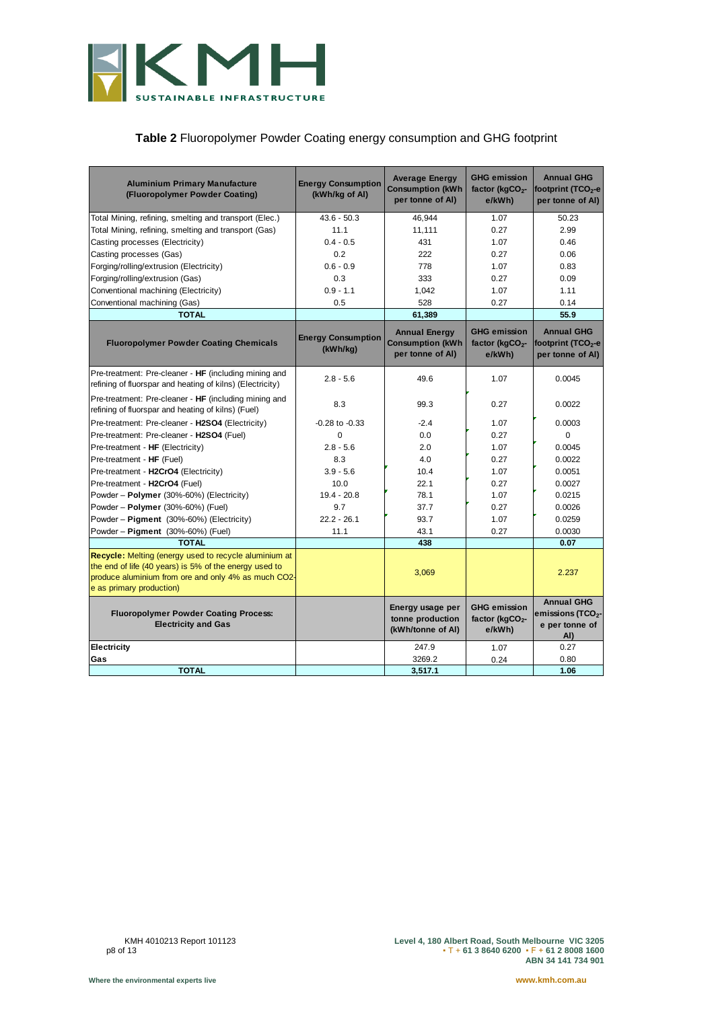

#### **Table 2** Fluoropolymer Powder Coating energy consumption and GHG footprint

<span id="page-8-1"></span><span id="page-8-0"></span>

| <b>Aluminium Primary Manufacture</b><br>(Fluoropolymer Powder Coating)                                                                                                                                    | <b>Energy Consumption</b><br>(kWh/kg of AI) | <b>Average Energy</b><br><b>Consumption (kWh</b><br>per tonne of AI) | <b>GHG emission</b><br>factor (kgCO <sub>2</sub> -<br>e/kWh) | <b>Annual GHG</b><br>footprint ( $TCO2$ -e<br>per tonne of AI)              |
|-----------------------------------------------------------------------------------------------------------------------------------------------------------------------------------------------------------|---------------------------------------------|----------------------------------------------------------------------|--------------------------------------------------------------|-----------------------------------------------------------------------------|
| Total Mining, refining, smelting and transport (Elec.)                                                                                                                                                    | $43.6 - 50.3$                               | 46,944                                                               | 1.07                                                         | 50.23                                                                       |
| Total Mining, refining, smelting and transport (Gas)                                                                                                                                                      | 11.1                                        | 11,111                                                               | 0.27                                                         | 2.99                                                                        |
| Casting processes (Electricity)                                                                                                                                                                           | $0.4 - 0.5$                                 | 431                                                                  | 1.07                                                         | 0.46                                                                        |
| Casting processes (Gas)                                                                                                                                                                                   | 0.2                                         | 222                                                                  | 0.27                                                         | 0.06                                                                        |
| Forging/rolling/extrusion (Electricity)                                                                                                                                                                   | $0.6 - 0.9$                                 | 778                                                                  | 1.07                                                         | 0.83                                                                        |
| Forging/rolling/extrusion (Gas)                                                                                                                                                                           | 0.3                                         | 333                                                                  | 0.27                                                         | 0.09                                                                        |
| Conventional machining (Electricity)                                                                                                                                                                      | $0.9 - 1.1$                                 | 1,042                                                                | 1.07                                                         | 1.11                                                                        |
| Conventional machining (Gas)                                                                                                                                                                              | 0.5                                         | 528                                                                  | 0.27                                                         | 0.14                                                                        |
| <b>TOTAL</b>                                                                                                                                                                                              |                                             | 61,389                                                               |                                                              | 55.9                                                                        |
| <b>Fluoropolymer Powder Coating Chemicals</b>                                                                                                                                                             | <b>Energy Consumption</b><br>(kWh/kg)       | <b>Annual Energy</b><br><b>Consumption (kWh</b><br>per tonne of AI)  | <b>GHG emission</b><br>factor ( $kgCO2$ -<br>e/kWh)          | <b>Annual GHG</b><br>footprint (TCO <sub>2</sub> -e<br>per tonne of Al)     |
| Pre-treatment: Pre-cleaner - HF (including mining and<br>refining of fluorspar and heating of kilns) (Electricity)                                                                                        | $2.8 - 5.6$                                 | 49.6                                                                 | 1.07                                                         | 0.0045                                                                      |
| Pre-treatment: Pre-cleaner - HF (including mining and<br>refining of fluorspar and heating of kilns) (Fuel)                                                                                               | 8.3                                         | 99.3                                                                 | 0.27                                                         | 0.0022                                                                      |
| Pre-treatment: Pre-cleaner - H2SO4 (Electricity)                                                                                                                                                          | $-0.28$ to $-0.33$                          | $-2.4$                                                               | 1.07                                                         | 0.0003                                                                      |
| Pre-treatment: Pre-cleaner - H2SO4 (Fuel)                                                                                                                                                                 | $\Omega$                                    | 0.0                                                                  | 0.27                                                         | $\Omega$                                                                    |
| Pre-treatment - HF (Electricity)                                                                                                                                                                          | $2.8 - 5.6$                                 | 2.0                                                                  | 1.07                                                         | 0.0045                                                                      |
| Pre-treatment - HF (Fuel)                                                                                                                                                                                 | 8.3                                         | 4.0                                                                  | 0.27                                                         | 0.0022                                                                      |
| Pre-treatment - H2CrO4 (Electricity)                                                                                                                                                                      | $3.9 - 5.6$                                 | 10.4                                                                 | 1.07                                                         | 0.0051                                                                      |
| Pre-treatment - H2CrO4 (Fuel)                                                                                                                                                                             | 10.0                                        | 22.1                                                                 | 0.27                                                         | 0.0027                                                                      |
| Powder - Polymer (30%-60%) (Electricity)                                                                                                                                                                  | $19.4 - 20.8$                               | 78.1                                                                 | 1.07                                                         | 0.0215                                                                      |
| Powder - Polymer (30%-60%) (Fuel)                                                                                                                                                                         | 9.7                                         | 37.7                                                                 | 0.27                                                         | 0.0026                                                                      |
| Powder - Pigment (30%-60%) (Electricity)                                                                                                                                                                  | $22.2 - 26.1$                               | 93.7                                                                 | 1.07                                                         | 0.0259                                                                      |
| Powder - Pigment (30%-60%) (Fuel)                                                                                                                                                                         | 11.1                                        | 43.1                                                                 | 0.27                                                         | 0.0030                                                                      |
| <b>TOTAL</b>                                                                                                                                                                                              |                                             | 438                                                                  |                                                              | 0.07                                                                        |
| <b>Recycle:</b> Melting (energy used to recycle aluminium at<br>the end of life (40 years) is 5% of the energy used to<br>produce aluminium from ore and only 4% as much CO2-<br>e as primary production) |                                             | 3,069                                                                |                                                              | 2.237                                                                       |
| <b>Fluoropolymer Powder Coating Process:</b><br><b>Electricity and Gas</b>                                                                                                                                |                                             | Energy usage per<br>tonne production<br>(kWh/tonne of AI)            | <b>GHG emission</b><br>factor (kgCO <sub>2</sub> -<br>e/kWh) | <b>Annual GHG</b><br>emissions (TCO <sub>2</sub> -<br>e per tonne of<br>AI) |
| Electricity                                                                                                                                                                                               |                                             | 247.9                                                                | 1.07                                                         | 0.27                                                                        |
| Gas                                                                                                                                                                                                       |                                             | 3269.2                                                               | 0.24                                                         | 0.80                                                                        |
| <b>TOTAL</b>                                                                                                                                                                                              |                                             | 3,517.1                                                              |                                                              | 1.06                                                                        |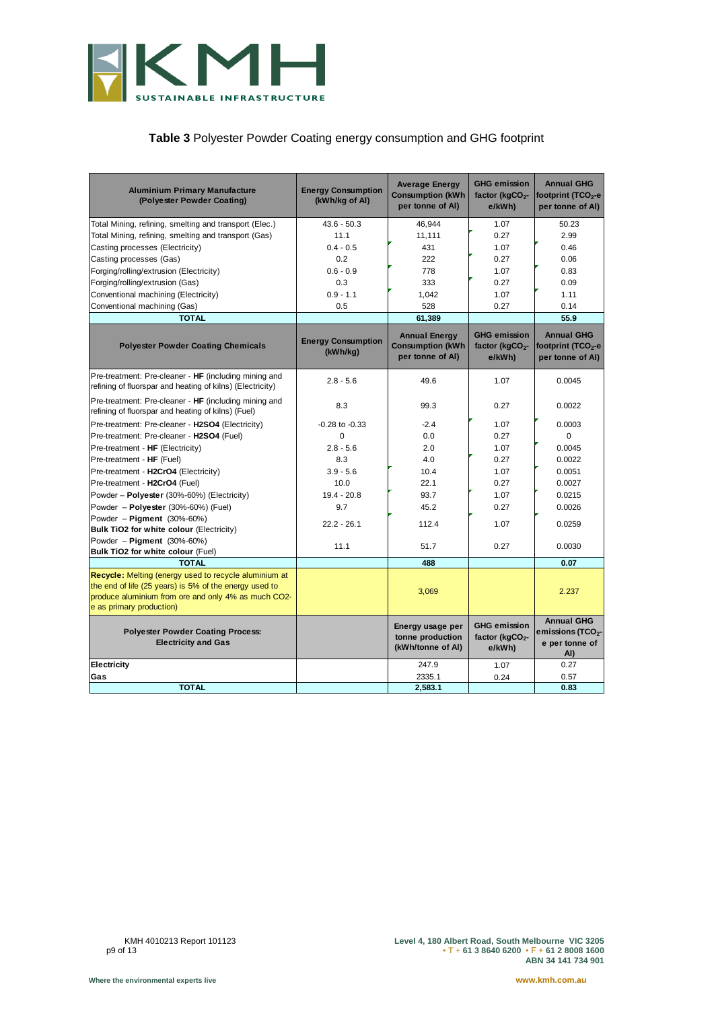

#### **Table 3** Polyester Powder Coating energy consumption and GHG footprint

| <b>Aluminium Primary Manufacture</b><br>(Polyester Powder Coating)                                                                                                                                        | <b>Energy Consumption</b><br>(kWh/kg of Al) | <b>Average Energy</b><br><b>Consumption (kWh</b><br>per tonne of AI) | <b>GHG emission</b><br>factor (kgCO <sub>2</sub> -<br>e/kWh) | <b>Annual GHG</b><br>footprint (TCO <sub>2</sub> -e<br>per tonne of AI)     |
|-----------------------------------------------------------------------------------------------------------------------------------------------------------------------------------------------------------|---------------------------------------------|----------------------------------------------------------------------|--------------------------------------------------------------|-----------------------------------------------------------------------------|
| Total Mining, refining, smelting and transport (Elec.)                                                                                                                                                    | $43.6 - 50.3$                               | 46,944                                                               | 1.07                                                         | 50.23                                                                       |
| Total Mining, refining, smelting and transport (Gas)                                                                                                                                                      | 11.1                                        | 11,111                                                               | 0.27                                                         | 2.99                                                                        |
| Casting processes (Electricity)                                                                                                                                                                           | $0.4 - 0.5$                                 | 431                                                                  | 1.07                                                         | 0.46                                                                        |
| Casting processes (Gas)                                                                                                                                                                                   | 0.2                                         | 222                                                                  | 0.27                                                         | 0.06                                                                        |
| Forging/rolling/extrusion (Electricity)                                                                                                                                                                   | $0.6 - 0.9$                                 | 778                                                                  | 1.07                                                         | 0.83                                                                        |
| Forging/rolling/extrusion (Gas)                                                                                                                                                                           | 0.3                                         | 333                                                                  | 0.27                                                         | 0.09                                                                        |
| Conventional machining (Electricity)                                                                                                                                                                      | $0.9 - 1.1$                                 | 1,042                                                                | 1.07                                                         | 1.11                                                                        |
| Conventional machining (Gas)                                                                                                                                                                              | 0.5                                         | 528                                                                  | 0.27                                                         | 0.14                                                                        |
| <b>TOTAL</b>                                                                                                                                                                                              |                                             | 61,389                                                               |                                                              | 55.9                                                                        |
| <b>Polyester Powder Coating Chemicals</b>                                                                                                                                                                 | <b>Energy Consumption</b><br>(kWh/kg)       | <b>Annual Energy</b><br><b>Consumption (kWh</b><br>per tonne of AI)  | <b>GHG emission</b><br>factor ( $kgCO2$ -<br>e/kWh)          | <b>Annual GHG</b><br>footprint $(TCO2-e)$<br>per tonne of AI)               |
| Pre-treatment: Pre-cleaner - HF (including mining and<br>refining of fluorspar and heating of kilns) (Electricity)                                                                                        | $2.8 - 5.6$                                 | 49.6                                                                 | 1.07                                                         | 0.0045                                                                      |
| Pre-treatment: Pre-cleaner - HF (including mining and<br>refining of fluorspar and heating of kilns) (Fuel)                                                                                               | 8.3                                         | 99.3                                                                 | 0.27                                                         | 0.0022                                                                      |
| Pre-treatment: Pre-cleaner - H2SO4 (Electricity)                                                                                                                                                          | $-0.28$ to $-0.33$                          | $-2.4$                                                               | 1.07                                                         | 0.0003                                                                      |
| Pre-treatment: Pre-cleaner - H2SO4 (Fuel)                                                                                                                                                                 | $\Omega$                                    | 0.0                                                                  | 0.27                                                         | $\Omega$                                                                    |
| Pre-treatment - HF (Electricity)                                                                                                                                                                          | $2.8 - 5.6$                                 | 2.0                                                                  | 1.07                                                         | 0.0045                                                                      |
| Pre-treatment - HF (Fuel)                                                                                                                                                                                 | 8.3                                         | 4.0                                                                  | 0.27                                                         | 0.0022                                                                      |
| Pre-treatment - H2CrO4 (Electricity)                                                                                                                                                                      | $3.9 - 5.6$                                 | 10.4                                                                 | 1.07                                                         | 0.0051                                                                      |
| Pre-treatment - H2CrO4 (Fuel)                                                                                                                                                                             | 10.0                                        | 22.1                                                                 | 0.27                                                         | 0.0027                                                                      |
| Powder - Polyester (30%-60%) (Electricity)                                                                                                                                                                | $19.4 - 20.8$                               | 93.7                                                                 | 1.07                                                         | 0.0215                                                                      |
| Powder - Polyester (30%-60%) (Fuel)                                                                                                                                                                       | 9.7                                         | 45.2                                                                 | 0.27                                                         | 0.0026                                                                      |
| Powder - Pigment (30%-60%)<br><b>Bulk TiO2 for white colour (Electricity)</b>                                                                                                                             | $22.2 - 26.1$                               | 112.4                                                                | 1.07                                                         | 0.0259                                                                      |
| Powder - Pigment (30%-60%)<br>Bulk TiO2 for white colour (Fuel)                                                                                                                                           | 11.1                                        | 51.7                                                                 | 0.27                                                         | 0.0030                                                                      |
| <b>TOTAL</b>                                                                                                                                                                                              |                                             | 488                                                                  |                                                              | 0.07                                                                        |
| <b>Recycle:</b> Melting (energy used to recycle aluminium at<br>the end of life (25 years) is 5% of the energy used to<br>produce aluminium from ore and only 4% as much CO2-<br>e as primary production) |                                             | 3,069                                                                |                                                              | 2.237                                                                       |
| <b>Polyester Powder Coating Process:</b><br><b>Electricity and Gas</b>                                                                                                                                    |                                             | Energy usage per<br>tonne production<br>(kWh/tonne of AI)            | <b>GHG emission</b><br>factor (kgCO <sub>2</sub> -<br>e/kWh) | <b>Annual GHG</b><br>emissions (TCO <sub>2</sub> -<br>e per tonne of<br>AI) |
| Electricity                                                                                                                                                                                               |                                             | 247.9                                                                | 1.07                                                         | 0.27                                                                        |
| Gas                                                                                                                                                                                                       |                                             | 2335.1                                                               | 0.24                                                         | 0.57                                                                        |
| <b>TOTAL</b>                                                                                                                                                                                              |                                             | 2,583.1                                                              |                                                              | 0.83                                                                        |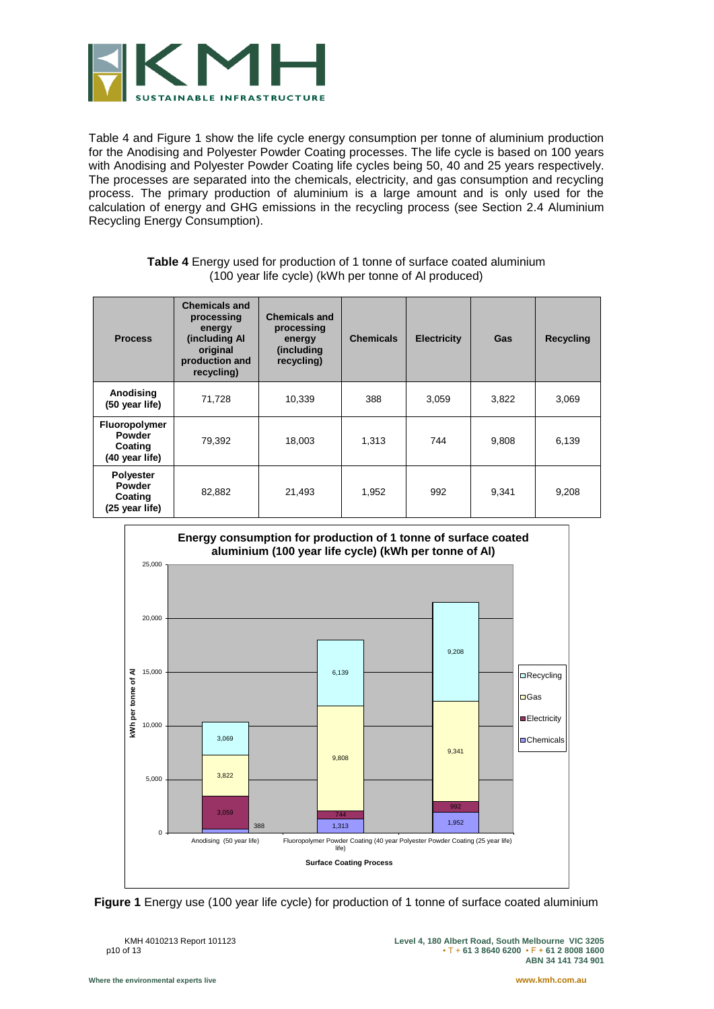

Table 4 and [Figure 1](#page-10-1) show the life cycle energy consumption per tonne of aluminium production for the Anodising and Polyester Powder Coating processes. The life cycle is based on 100 years with Anodising and Polyester Powder Coating life cycles being 50, 40 and 25 years respectively. The processes are separated into the chemicals, electricity, and gas consumption and recycling process. The primary production of aluminium is a large amount and is only used for the calculation of energy and GHG emissions in the recycling process (see Section 2.4 Aluminium Recycling Energy Consumption).

<span id="page-10-0"></span>

| <b>Process</b>                                              | <b>Chemicals and</b><br>processing<br>energy<br>(including Al<br>original<br>production and<br>recycling) | <b>Chemicals and</b><br>processing<br>energy<br>(including<br>recycling) | <b>Chemicals</b> | <b>Electricity</b> | Gas   | Recycling |
|-------------------------------------------------------------|-----------------------------------------------------------------------------------------------------------|--------------------------------------------------------------------------|------------------|--------------------|-------|-----------|
| Anodising<br>(50 year life)                                 | 71,728                                                                                                    | 10,339                                                                   | 388              | 3,059              | 3,822 | 3,069     |
| <b>Fluoropolymer</b><br>Powder<br>Coating<br>(40 year life) | 79,392                                                                                                    | 18,003                                                                   | 1,313            | 744                | 9,808 | 6,139     |
| <b>Polyester</b><br>Powder<br>Coating<br>(25 year life)     | 82.882                                                                                                    | 21,493                                                                   | 1,952            | 992                | 9,341 | 9,208     |

| <b>Table 4</b> Energy used for production of 1 tonne of surface coated aluminium |
|----------------------------------------------------------------------------------|
| (100 year life cycle) (kWh per tonne of Al produced)                             |



<span id="page-10-1"></span>**Figure 1** Energy use (100 year life cycle) for production of 1 tonne of surface coated aluminium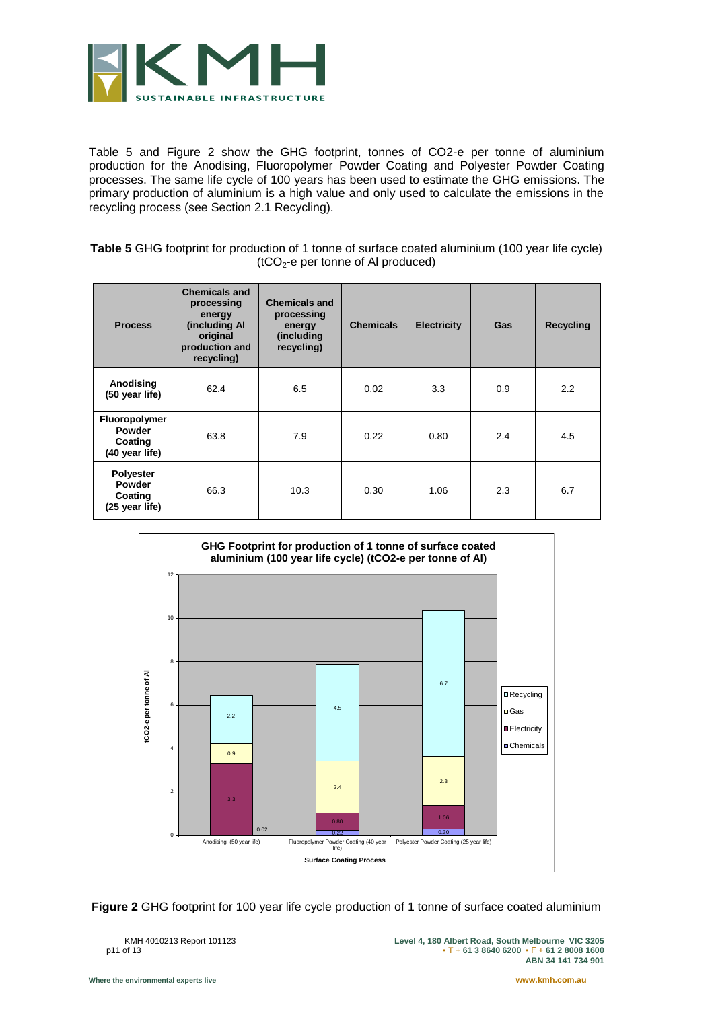

[Table 5](#page-11-0) and [Figure 2](#page-11-1) show the GHG footprint, tonnes of CO2-e per tonne of aluminium production for the Anodising, Fluoropolymer Powder Coating and Polyester Powder Coating processes. The same life cycle of 100 years has been used to estimate the GHG emissions. The primary production of aluminium is a high value and only used to calculate the emissions in the recycling process (see Section 2.1 Recycling).

<span id="page-11-0"></span>**Table 5** GHG footprint for production of 1 tonne of surface coated aluminium (100 year life cycle)  $(tCO<sub>2</sub>-e per tonne of Al produced)$ 

| <b>Process</b>                                          | <b>Chemicals and</b><br>processing<br>energy<br>(including Al<br>original<br>production and<br>recycling) | <b>Chemicals and</b><br>processing<br>energy<br>(including<br>recycling) | <b>Chemicals</b> | <b>Electricity</b> | Gas | <b>Recycling</b> |
|---------------------------------------------------------|-----------------------------------------------------------------------------------------------------------|--------------------------------------------------------------------------|------------------|--------------------|-----|------------------|
| Anodising<br>(50 year life)                             | 62.4                                                                                                      | 6.5                                                                      | 0.02             | 3.3                | 0.9 | 2.2              |
| Fluoropolymer<br>Powder<br>Coating<br>(40 year life)    | 63.8                                                                                                      | 7.9                                                                      | 0.22             | 0.80               | 2.4 | 4.5              |
| <b>Polyester</b><br>Powder<br>Coating<br>(25 year life) | 66.3                                                                                                      | 10.3                                                                     | 0.30             | 1.06               | 2.3 | 6.7              |



<span id="page-11-1"></span>**Figure 2** GHG footprint for 100 year life cycle production of 1 tonne of surface coated aluminium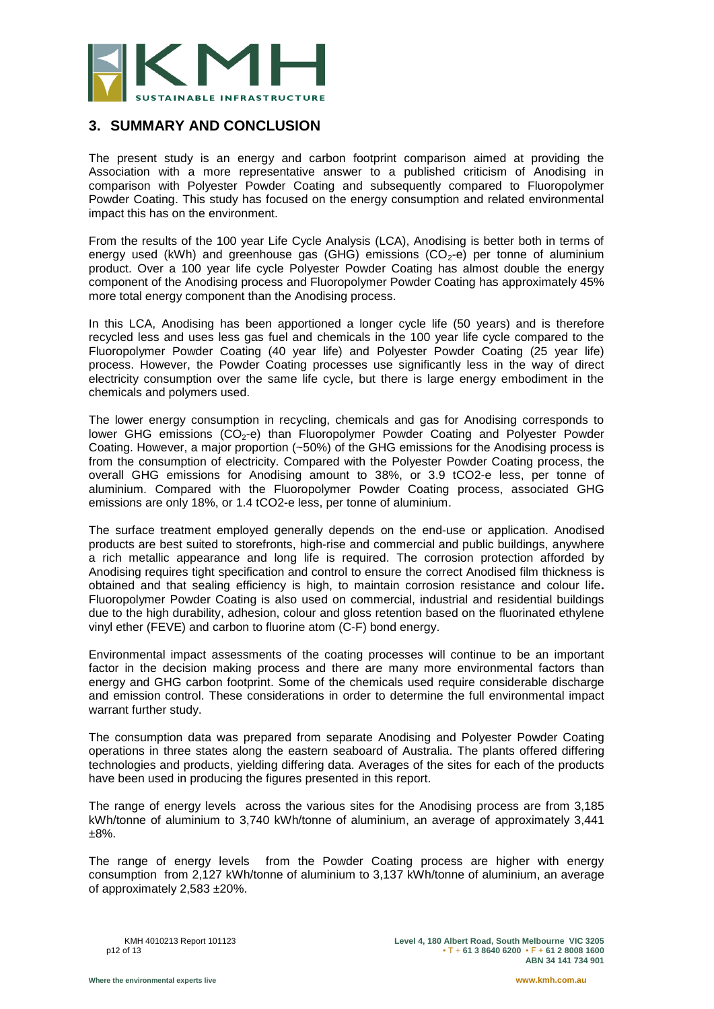

## **3. SUMMARY AND CONCLUSION**

The present study is an energy and carbon footprint comparison aimed at providing the Association with a more representative answer to a published criticism of Anodising in comparison with Polyester Powder Coating and subsequently compared to Fluoropolymer Powder Coating. This study has focused on the energy consumption and related environmental impact this has on the environment.

From the results of the 100 year Life Cycle Analysis (LCA), Anodising is better both in terms of energy used (kWh) and greenhouse gas (GHG) emissions  $(CO<sub>2</sub>-e)$  per tonne of aluminium product. Over a 100 year life cycle Polyester Powder Coating has almost double the energy component of the Anodising process and Fluoropolymer Powder Coating has approximately 45% more total energy component than the Anodising process.

In this LCA, Anodising has been apportioned a longer cycle life (50 years) and is therefore recycled less and uses less gas fuel and chemicals in the 100 year life cycle compared to the Fluoropolymer Powder Coating (40 year life) and Polyester Powder Coating (25 year life) process. However, the Powder Coating processes use significantly less in the way of direct electricity consumption over the same life cycle, but there is large energy embodiment in the chemicals and polymers used.

The lower energy consumption in recycling, chemicals and gas for Anodising corresponds to lower GHG emissions  $(CO<sub>2</sub>-e)$  than Fluoropolymer Powder Coating and Polyester Powder Coating. However, a major proportion (~50%) of the GHG emissions for the Anodising process is from the consumption of electricity. Compared with the Polyester Powder Coating process, the overall GHG emissions for Anodising amount to 38%, or 3.9 tCO2-e less, per tonne of aluminium. Compared with the Fluoropolymer Powder Coating process, associated GHG emissions are only 18%, or 1.4 tCO2-e less, per tonne of aluminium.

The surface treatment employed generally depends on the end-use or application. Anodised products are best suited to storefronts, high-rise and commercial and public buildings, anywhere a rich metallic appearance and long life is required. The corrosion protection afforded by Anodising requires tight specification and control to ensure the correct Anodised film thickness is obtained and that sealing efficiency is high, to maintain corrosion resistance and colour life**.** Fluoropolymer Powder Coating is also used on commercial, industrial and residential buildings due to the high durability, adhesion, colour and gloss retention based on the fluorinated ethylene vinyl ether (FEVE) and carbon to fluorine atom (C-F) bond energy.

Environmental impact assessments of the coating processes will continue to be an important factor in the decision making process and there are many more environmental factors than energy and GHG carbon footprint. Some of the chemicals used require considerable discharge and emission control. These considerations in order to determine the full environmental impact warrant further study.

The consumption data was prepared from separate Anodising and Polyester Powder Coating operations in three states along the eastern seaboard of Australia. The plants offered differing technologies and products, yielding differing data. Averages of the sites for each of the products have been used in producing the figures presented in this report.

The range of energy levels across the various sites for the Anodising process are from 3,185 kWh/tonne of aluminium to 3,740 kWh/tonne of aluminium, an average of approximately 3,441 ±8%.

The range of energy levels from the Powder Coating process are higher with energy consumption from 2,127 kWh/tonne of aluminium to 3,137 kWh/tonne of aluminium, an average of approximately 2,583 ±20%.